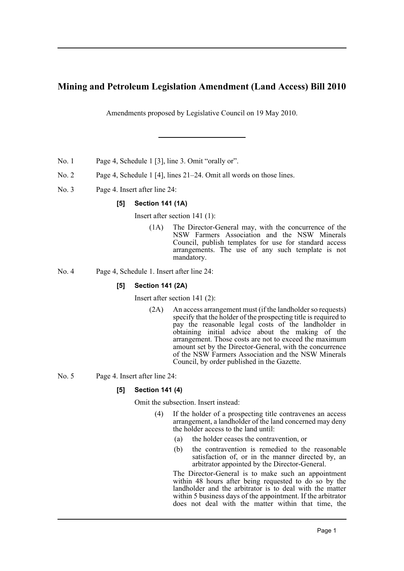# **Mining and Petroleum Legislation Amendment (Land Access) Bill 2010**

Amendments proposed by Legislative Council on 19 May 2010.

- No. 1 Page 4, Schedule 1 [3], line 3. Omit "orally or".
- No. 2 Page 4, Schedule 1 [4], lines 21–24. Omit all words on those lines.
- No. 3 Page 4. Insert after line 24:

# **[5] Section 141 (1A)**

Insert after section 141 (1):

(1A) The Director-General may, with the concurrence of the NSW Farmers Association and the NSW Minerals Council, publish templates for use for standard access arrangements. The use of any such template is not mandatory.

No. 4 Page 4, Schedule 1. Insert after line 24:

## **[5] Section 141 (2A)**

Insert after section 141 (2):

- (2A) An access arrangement must (if the landholder so requests) specify that the holder of the prospecting title is required to pay the reasonable legal costs of the landholder in obtaining initial advice about the making of the arrangement. Those costs are not to exceed the maximum amount set by the Director-General, with the concurrence of the NSW Farmers Association and the NSW Minerals Council, by order published in the Gazette.
- No. 5 Page 4. Insert after line 24:

## **[5] Section 141 (4)**

Omit the subsection. Insert instead:

- (4) If the holder of a prospecting title contravenes an access arrangement, a landholder of the land concerned may deny the holder access to the land until:
	- (a) the holder ceases the contravention, or
	- (b) the contravention is remedied to the reasonable satisfaction of, or in the manner directed by, an arbitrator appointed by the Director-General.

The Director-General is to make such an appointment within 48 hours after being requested to  $\phi$  so by the landholder and the arbitrator is to deal with the matter within 5 business days of the appointment. If the arbitrator does not deal with the matter within that time, the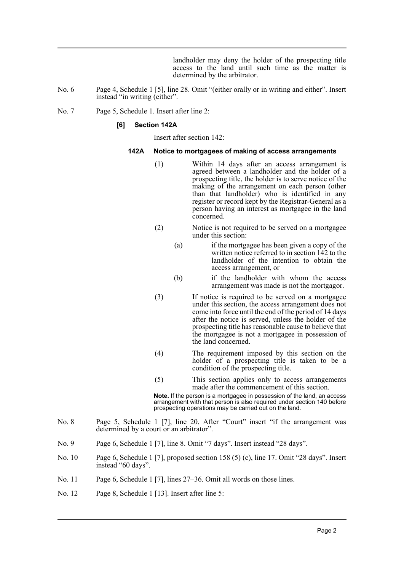landholder may deny the holder of the prospecting title access to the land until such time as the matter is determined by the arbitrator.

- No. 6 Page 4, Schedule 1 [5], line 28. Omit "(either orally or in writing and either". Insert instead "in writing (either".
- No. 7 Page 5, Schedule 1. Insert after line 2:

#### **[6] Section 142A**

Insert after section 142:

#### **142A Notice to mortgagees of making of access arrangements**

- (1) Within 14 days after an access arrangement is agreed between a landholder and the holder of a prospecting title, the holder is to serve notice of the making of the arrangement on each person (other than that landholder) who is identified in any register or record kept by the Registrar-General as a person having an interest as mortgagee in the land concerned.
- (2) Notice is not required to be served on a mortgagee under this section:
	- (a) if the mortgagee has been given a copy of the written notice referred to in section 142 to the landholder of the intention to obtain the access arrangement, or
	- (b) if the landholder with whom the access arrangement was made is not the mortgagor.
- (3) If notice is required to be served on a mortgagee under this section, the access arrangement does not come into force until the end of the period of 14 days after the notice is served, unless the holder of the prospecting title has reasonable cause to believe that the mortgagee is not a mortgagee in possession of the land concerned.
- (4) The requirement imposed by this section on the holder of a prospecting title is taken to be a condition of the prospecting title.
- (5) This section applies only to access arrangements made after the commencement of this section.

**Note.** If the person is a mortgagee in possession of the land, an access arrangement with that person is also required under section 140 before prospecting operations may be carried out on the land.

- No. 8 Page 5, Schedule 1 [7], line 20. After "Court" insert "if the arrangement was determined by a court or an arbitrator".
- No. 9 Page 6, Schedule 1 [7], line 8. Omit "7 days". Insert instead "28 days".
- No. 10 Page 6, Schedule 1 [7], proposed section 158 (5) (c), line 17. Omit "28 days". Insert instead "60 days".
- No. 11 Page 6, Schedule 1 [7], lines 27–36. Omit all words on those lines.
- No. 12 Page 8, Schedule 1 [13]. Insert after line 5: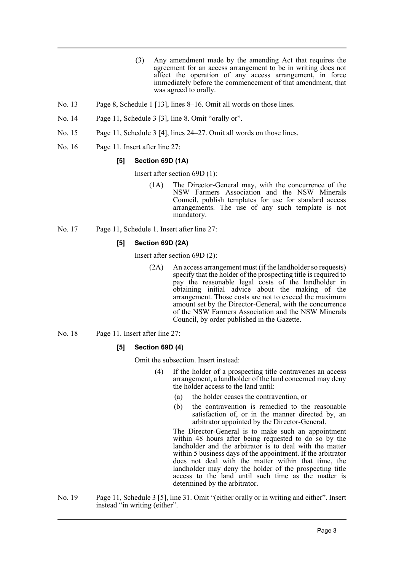- (3) Any amendment made by the amending Act that requires the agreement for an access arrangement to be in writing does not affect the operation of any access arrangement, in force immediately before the commencement of that amendment, that was agreed to orally.
- No. 13 Page 8, Schedule 1 [13], lines 8–16. Omit all words on those lines.
- No. 14 Page 11, Schedule 3 [3], line 8. Omit "orally or".
- No. 15 Page 11, Schedule 3 [4], lines 24–27. Omit all words on those lines.
- No. 16 Page 11. Insert after line 27:

## **[5] Section 69D (1A)**

Insert after section 69D (1):

- (1A) The Director-General may, with the concurrence of the NSW Farmers Association and the NSW Minerals Council, publish templates for use for standard access arrangements. The use of any such template is not mandatory.
- No. 17 Page 11, Schedule 1. Insert after line 27:

# **[5] Section 69D (2A)**

Insert after section 69D (2):

- (2A) An access arrangement must (if the landholder so requests) specify that the holder of the prospecting title is required to pay the reasonable legal costs of the landholder in obtaining initial advice about the making of the arrangement. Those costs are not to exceed the maximum amount set by the Director-General, with the concurrence of the NSW Farmers Association and the NSW Minerals Council, by order published in the Gazette.
- No. 18 Page 11. Insert after line 27:

## **[5] Section 69D (4)**

Omit the subsection. Insert instead:

- (4) If the holder of a prospecting title contravenes an access arrangement, a landholder of the land concerned may deny the holder access to the land until:
	- (a) the holder ceases the contravention, or
	- (b) the contravention is remedied to the reasonable satisfaction of, or in the manner directed by, an arbitrator appointed by the Director-General.

The Director-General is to make such an appointment within 48 hours after being requested to do so by the landholder and the arbitrator is to deal with the matter within 5 business days of the appointment. If the arbitrator does not deal with the matter within that time, the landholder may deny the holder of the prospecting title access to the land until such time as the matter is determined by the arbitrator.

No. 19 Page 11, Schedule 3 [5], line 31. Omit "(either orally or in writing and either". Insert instead "in writing (either".